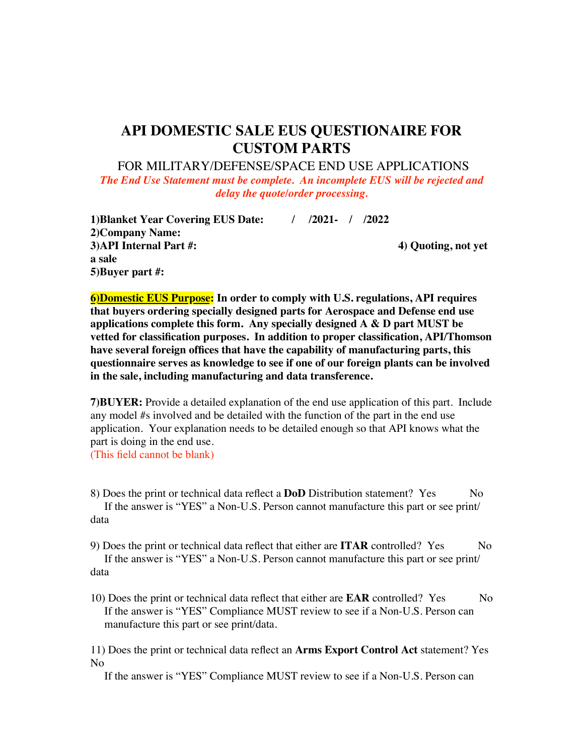## **API DOMESTIC SALE EUS QUESTIONAIRE FOR CUSTOM PARTS**

FOR MILITARY/DEFENSE/SPACE END USE APPLICATIONS

*The End Use Statement must be complete. An incomplete EUS will be rejected and delay the quote/order processing.*

**1)Blanket Year Covering EUS Date: / /2021- / /2022 2)Company Name: 3)API Internal Part #: 4) Quoting, not yet a sale 5)Buyer part #:**

**6)Domestic EUS Purpose: In order to comply with U.S. regulations, API requires that buyers ordering specially designed parts for Aerospace and Defense end use applications complete this form. Any specially designed A & D part MUST be vetted for classification purposes. In addition to proper classification, API/Thomson have several foreign offices that have the capability of manufacturing parts, this questionnaire serves as knowledge to see if one of our foreign plants can be involved in the sale, including manufacturing and data transference.** 

**7)BUYER:** Provide a detailed explanation of the end use application of this part. Include any model #s involved and be detailed with the function of the part in the end use application. Your explanation needs to be detailed enough so that API knows what the part is doing in the end use.

(This field cannot be blank)

8) Does the print or technical data reflect a **DoD** Distribution statement? Yes No If the answer is "YES" a Non-U.S. Person cannot manufacture this part or see print/ data

9) Does the print or technical data reflect that either are **ITAR** controlled? Yes No If the answer is "YES" a Non-U.S. Person cannot manufacture this part or see print/ data

10) Does the print or technical data reflect that either are **EAR** controlled? Yes No If the answer is "YES" Compliance MUST review to see if a Non-U.S. Person can manufacture this part or see print/data.

11) Does the print or technical data reflect an **Arms Export Control Act** statement? Yes No

If the answer is "YES" Compliance MUST review to see if a Non-U.S. Person can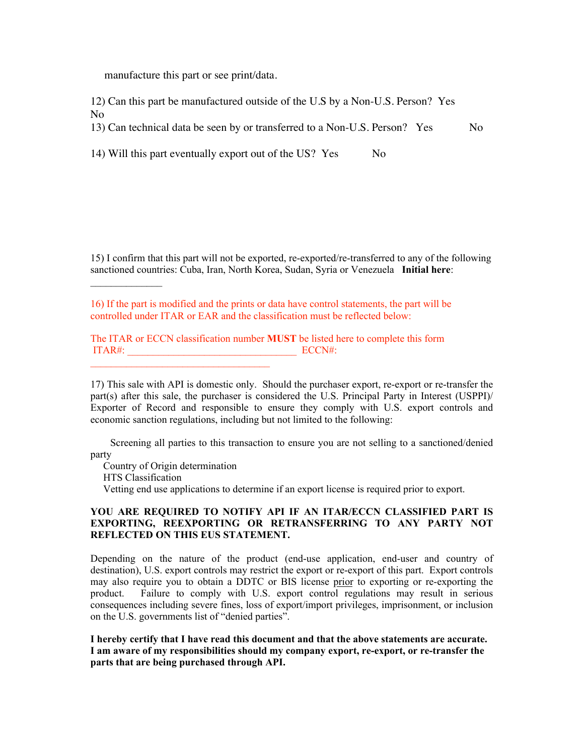manufacture this part or see print/data.

12) Can this part be manufactured outside of the U.S by a Non-U.S. Person? Yes No

13) Can technical data be seen by or transferred to a Non-U.S. Person? Yes No

14) Will this part eventually export out of the US? Yes No

15) I confirm that this part will not be exported, re-exported/re-transferred to any of the following sanctioned countries: Cuba, Iran, North Korea, Sudan, Syria or Venezuela **Initial here**:

16) If the part is modified and the prints or data have control statements, the part will be controlled under ITAR or EAR and the classification must be reflected below:

The ITAR or ECCN classification number **MUST** be listed here to complete this form ITAR#:  $ECCN#$ :

17) This sale with API is domestic only. Should the purchaser export, re-export or re-transfer the part(s) after this sale, the purchaser is considered the U.S. Principal Party in Interest (USPPI)/ Exporter of Record and responsible to ensure they comply with U.S. export controls and economic sanction regulations, including but not limited to the following:

 Screening all parties to this transaction to ensure you are not selling to a sanctioned/denied party

Country of Origin determination

 $\mathcal{L}_\text{max}$  and  $\mathcal{L}_\text{max}$  and  $\mathcal{L}_\text{max}$  and  $\mathcal{L}_\text{max}$ 

HTS Classification

 $\mathcal{L}_\text{max}$  and  $\mathcal{L}_\text{max}$ 

Vetting end use applications to determine if an export license is required prior to export.

## **YOU ARE REQUIRED TO NOTIFY API IF AN ITAR/ECCN CLASSIFIED PART IS EXPORTING, REEXPORTING OR RETRANSFERRING TO ANY PARTY NOT REFLECTED ON THIS EUS STATEMENT.**

Depending on the nature of the product (end-use application, end-user and country of destination), U.S. export controls may restrict the export or re-export of this part. Export controls may also require you to obtain a DDTC or BIS license prior to exporting or re-exporting the product. Failure to comply with U.S. export control regulations may result in serious consequences including severe fines, loss of export/import privileges, imprisonment, or inclusion on the U.S. governments list of "denied parties".

**I hereby certify that I have read this document and that the above statements are accurate. I am aware of my responsibilities should my company export, re-export, or re-transfer the parts that are being purchased through API.**